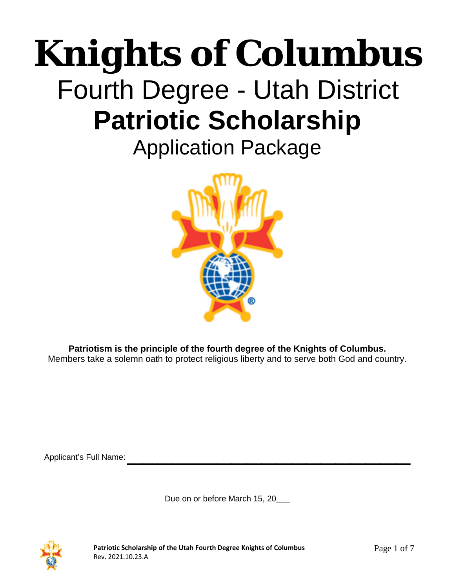Application Package



**Patriotism is the principle of the fourth degree of the Knights of Columbus.** Members take a solemn oath to protect religious liberty and to serve both God and country.

Applicant's Full Name: \_\_\_\_\_\_\_\_\_\_\_\_\_\_\_\_\_\_\_

Due on or before March 15, 20**\_\_\_**



**Patriotic Scholarship of the Utah Fourth Degree Knights of Columbus** Rev. 2021.10.23.A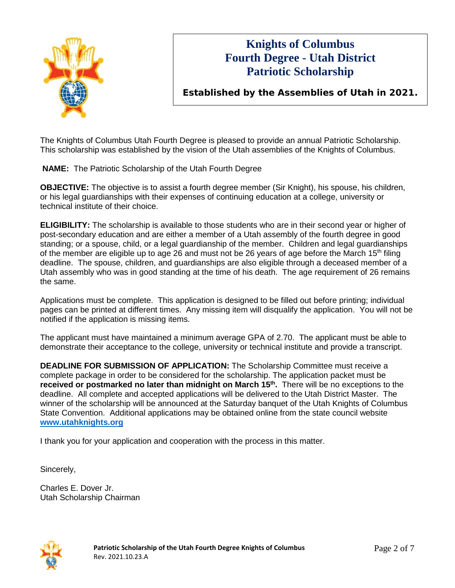

**Established by the Assemblies of Utah in 2021.**

The Knights of Columbus Utah Fourth Degree is pleased to provide an annual Patriotic Scholarship. This scholarship was established by the vision of the Utah assemblies of the Knights of Columbus.

**NAME:** The Patriotic Scholarship of the Utah Fourth Degree

**OBJECTIVE:** The objective is to assist a fourth degree member (Sir Knight), his spouse, his children, or his legal guardianships with their expenses of continuing education at a college, university or technical institute of their choice.

**ELIGIBILITY:** The scholarship is available to those students who are in their second year or higher of post-secondary education and are either a member of a Utah assembly of the fourth degree in good standing; or a spouse, child, or a legal guardianship of the member. Children and legal guardianships of the member are eligible up to age 26 and must not be 26 years of age before the March 15<sup>th</sup> filing deadline. The spouse, children, and guardianships are also eligible through a deceased member of a Utah assembly who was in good standing at the time of his death. The age requirement of 26 remains the same.

Applications must be complete. This application is designed to be filled out before printing; individual pages can be printed at different times. Any missing item will disqualify the application. You will not be notified if the application is missing items.

The applicant must have maintained a minimum average GPA of 2.70. The applicant must be able to demonstrate their acceptance to the college, university or technical institute and provide a transcript.

**DEADLINE FOR SUBMISSION OF APPLICATION:** The Scholarship Committee must receive a complete package in order to be considered for the scholarship. The application packet must be **received or postmarked no later than midnight on March 15<sup>th</sup>.** There will be no exceptions to the deadline. All complete and accepted applications will be delivered to the Utah District Master. The winner of the scholarship will be announced at the Saturday banquet of the Utah Knights of Columbus State Convention. Additional applications may be obtained online from the state council website **[www.utahknights.org](http://www.utahknights.org/)**

I thank you for your application and cooperation with the process in this matter.

Sincerely,

Charles E. Dover Jr. Utah Scholarship Chairman

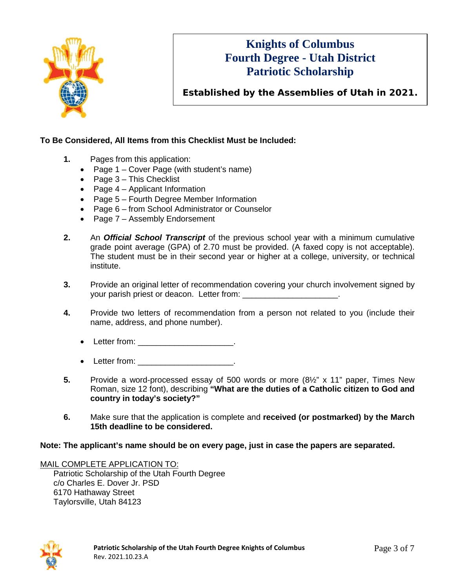

**Established by the Assemblies of Utah in 2021.**

#### **To Be Considered, All Items from this Checklist Must be Included:**

- **1.** Pages from this application:
	- Page 1 Cover Page (with student's name)
	- Page 3 This Checklist
	- Page 4 Applicant Information
	- Page 5 Fourth Degree Member Information
	- Page 6 from School Administrator or Counselor
	- Page 7 Assembly Endorsement
- **2.** An *Official School Transcript* of the previous school year with a minimum cumulative grade point average (GPA) of 2.70 must be provided. (A faxed copy is not acceptable). The student must be in their second year or higher at a college, university, or technical institute.
- **3.** Provide an original letter of recommendation covering your church involvement signed by your parish priest or deacon. Letter from: \_\_\_\_\_\_\_\_\_\_\_\_\_\_\_\_\_\_\_\_\_.
- **4.** Provide two letters of recommendation from a person not related to you (include their name, address, and phone number).
	- Letter from: \_\_\_\_\_\_\_\_\_\_\_\_\_\_\_\_\_\_\_\_\_\_\_\_.
	- Letter from: \_\_\_\_\_\_\_\_\_\_\_\_\_\_\_\_\_\_\_\_\_\_\_.
- **5.** Provide a word-processed essay of 500 words or more (8½" x 11" paper, Times New Roman, size 12 font), describing **"What are the duties of a Catholic citizen to God and country in today's society?"**
- **6.** Make sure that the application is complete and **received (or postmarked) by the March 15th deadline to be considered.**

#### **Note: The applicant's name should be on every page, just in case the papers are separated.**

MAIL COMPLETE APPLICATION TO:

Patriotic Scholarship of the Utah Fourth Degree c/o Charles E. Dover Jr. PSD 6170 Hathaway Street Taylorsville, Utah 84123

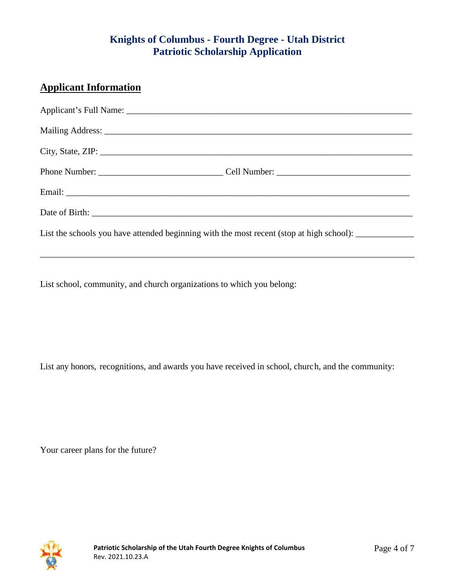# **Applicant Information**

| List the schools you have attended beginning with the most recent (stop at high school): ___________ |  |  |
|------------------------------------------------------------------------------------------------------|--|--|

\_\_\_\_\_\_\_\_\_\_\_\_\_\_\_\_\_\_\_\_\_\_\_\_\_\_\_\_\_\_\_\_\_\_\_\_\_\_\_\_\_\_\_\_\_\_\_\_\_\_\_\_\_\_\_\_\_\_\_\_\_\_\_\_\_\_\_\_\_\_\_\_\_\_\_\_\_\_\_\_\_\_\_\_

List school, community, and church organizations to which you belong:

List any honors, recognitions, and awards you have received in school, church, and the community:

Your career plans for the future?

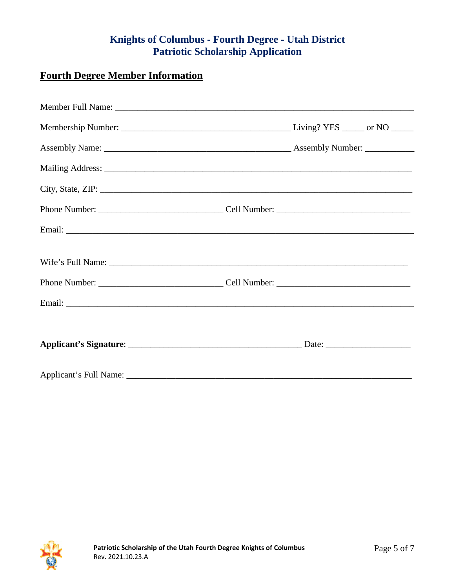# **Fourth Degree Member Information**

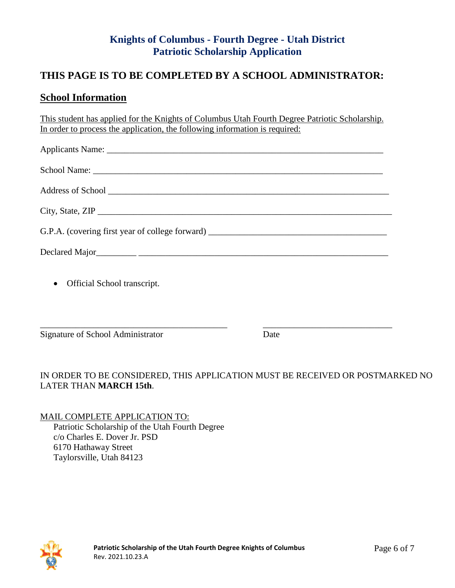### **THIS PAGE IS TO BE COMPLETED BY A SCHOOL ADMINISTRATOR:**

#### **School Information**

This student has applied for the Knights of Columbus Utah Fourth Degree Patriotic Scholarship. In order to process the application, the following information is required:

• Official School transcript.

\_\_\_\_\_\_\_\_\_\_\_\_\_\_\_\_\_\_\_\_\_\_\_\_\_\_\_\_\_\_\_\_\_\_\_\_\_\_\_\_\_\_ \_\_\_\_\_\_\_\_\_\_\_\_\_\_\_\_\_\_\_\_\_\_\_\_\_\_\_\_\_ Signature of School Administrator Date

#### IN ORDER TO BE CONSIDERED, THIS APPLICATION MUST BE RECEIVED OR POSTMARKED NO LATER THAN **MARCH 15th**.

MAIL COMPLETE APPLICATION TO:

Patriotic Scholarship of the Utah Fourth Degree c/o Charles E. Dover Jr. PSD 6170 Hathaway Street Taylorsville, Utah 84123